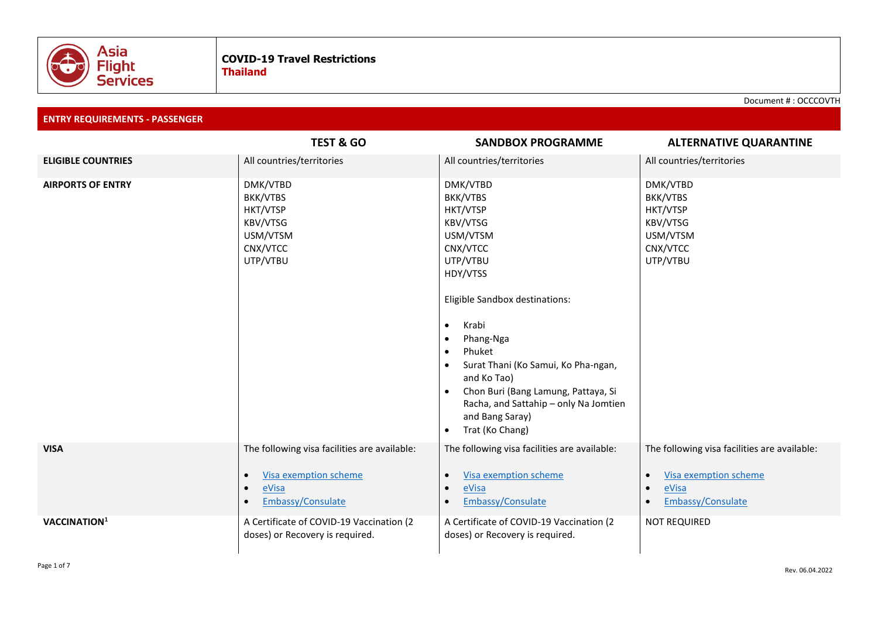

Document # : OCCCOVTH

**ENTRY REQUIREMENTS - PASSENGER**

|                           | <b>TEST &amp; GO</b>                                                                      | <b>SANDBOX PROGRAMME</b>                                                                                                                                                                                                                                                                                                                                                                       | <b>ALTERNATIVE QUARANTINE</b>                                                             |  |
|---------------------------|-------------------------------------------------------------------------------------------|------------------------------------------------------------------------------------------------------------------------------------------------------------------------------------------------------------------------------------------------------------------------------------------------------------------------------------------------------------------------------------------------|-------------------------------------------------------------------------------------------|--|
| <b>ELIGIBLE COUNTRIES</b> | All countries/territories                                                                 | All countries/territories                                                                                                                                                                                                                                                                                                                                                                      | All countries/territories                                                                 |  |
| <b>AIRPORTS OF ENTRY</b>  | DMK/VTBD<br>BKK/VTBS<br>HKT/VTSP<br>KBV/VTSG<br>USM/VTSM<br>CNX/VTCC<br>UTP/VTBU          | DMK/VTBD<br>BKK/VTBS<br>HKT/VTSP<br>KBV/VTSG<br>USM/VTSM<br>CNX/VTCC<br>UTP/VTBU<br>HDY/VTSS<br>Eligible Sandbox destinations:<br>Krabi<br>$\bullet$<br>Phang-Nga<br>$\bullet$<br>Phuket<br>$\bullet$<br>Surat Thani (Ko Samui, Ko Pha-ngan,<br>and Ko Tao)<br>Chon Buri (Bang Lamung, Pattaya, Si<br>Racha, and Sattahip - only Na Jomtien<br>and Bang Saray)<br>Trat (Ko Chang)<br>$\bullet$ | DMK/VTBD<br>BKK/VTBS<br>HKT/VTSP<br>KBV/VTSG<br>USM/VTSM<br>CNX/VTCC<br>UTP/VTBU          |  |
| <b>VISA</b>               | The following visa facilities are available:<br><b>Visa exemption scheme</b><br>$\bullet$ | The following visa facilities are available:<br>Visa exemption scheme<br>$\bullet$                                                                                                                                                                                                                                                                                                             | The following visa facilities are available:<br><b>Visa exemption scheme</b><br>$\bullet$ |  |
|                           | eVisa<br>$\bullet$<br>Embassy/Consulate                                                   | eVisa<br>$\bullet$<br>Embassy/Consulate<br>$\bullet$                                                                                                                                                                                                                                                                                                                                           | eVisa<br>$\bullet$<br>Embassy/Consulate<br>$\bullet$                                      |  |
| VACCINATION <sup>1</sup>  | A Certificate of COVID-19 Vaccination (2<br>doses) or Recovery is required.               | A Certificate of COVID-19 Vaccination (2<br>doses) or Recovery is required.                                                                                                                                                                                                                                                                                                                    | <b>NOT REQUIRED</b>                                                                       |  |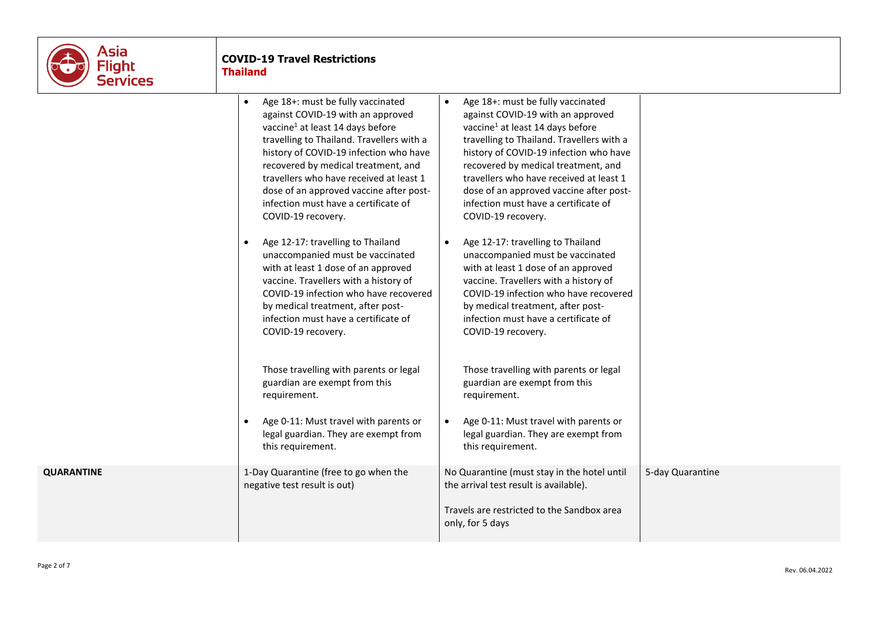

# **COVID-19 Travel Restrictions Thailand**

|                   | Age 18+: must be fully vaccinated<br>against COVID-19 with an approved<br>vaccine <sup>1</sup> at least 14 days before<br>travelling to Thailand. Travellers with a<br>history of COVID-19 infection who have<br>recovered by medical treatment, and<br>travellers who have received at least 1<br>dose of an approved vaccine after post-<br>infection must have a certificate of<br>COVID-19 recovery. | Age 18+: must be fully vaccinated<br>$\bullet$<br>against COVID-19 with an approved<br>vaccine <sup>1</sup> at least 14 days before<br>travelling to Thailand. Travellers with a<br>history of COVID-19 infection who have<br>recovered by medical treatment, and<br>travellers who have received at least 1<br>dose of an approved vaccine after post-<br>infection must have a certificate of<br>COVID-19 recovery. |                  |
|-------------------|----------------------------------------------------------------------------------------------------------------------------------------------------------------------------------------------------------------------------------------------------------------------------------------------------------------------------------------------------------------------------------------------------------|-----------------------------------------------------------------------------------------------------------------------------------------------------------------------------------------------------------------------------------------------------------------------------------------------------------------------------------------------------------------------------------------------------------------------|------------------|
|                   | Age 12-17: travelling to Thailand<br>unaccompanied must be vaccinated<br>with at least 1 dose of an approved<br>vaccine. Travellers with a history of<br>COVID-19 infection who have recovered<br>by medical treatment, after post-<br>infection must have a certificate of<br>COVID-19 recovery.                                                                                                        | Age 12-17: travelling to Thailand<br>$\bullet$<br>unaccompanied must be vaccinated<br>with at least 1 dose of an approved<br>vaccine. Travellers with a history of<br>COVID-19 infection who have recovered<br>by medical treatment, after post-<br>infection must have a certificate of<br>COVID-19 recovery.                                                                                                        |                  |
|                   | Those travelling with parents or legal<br>guardian are exempt from this<br>requirement.<br>Age 0-11: Must travel with parents or<br>legal guardian. They are exempt from<br>this requirement.                                                                                                                                                                                                            | Those travelling with parents or legal<br>guardian are exempt from this<br>requirement.<br>Age 0-11: Must travel with parents or<br>$\bullet$<br>legal guardian. They are exempt from<br>this requirement.                                                                                                                                                                                                            |                  |
| <b>QUARANTINE</b> | 1-Day Quarantine (free to go when the<br>negative test result is out)                                                                                                                                                                                                                                                                                                                                    | No Quarantine (must stay in the hotel until<br>the arrival test result is available).<br>Travels are restricted to the Sandbox area<br>only, for 5 days                                                                                                                                                                                                                                                               | 5-day Quarantine |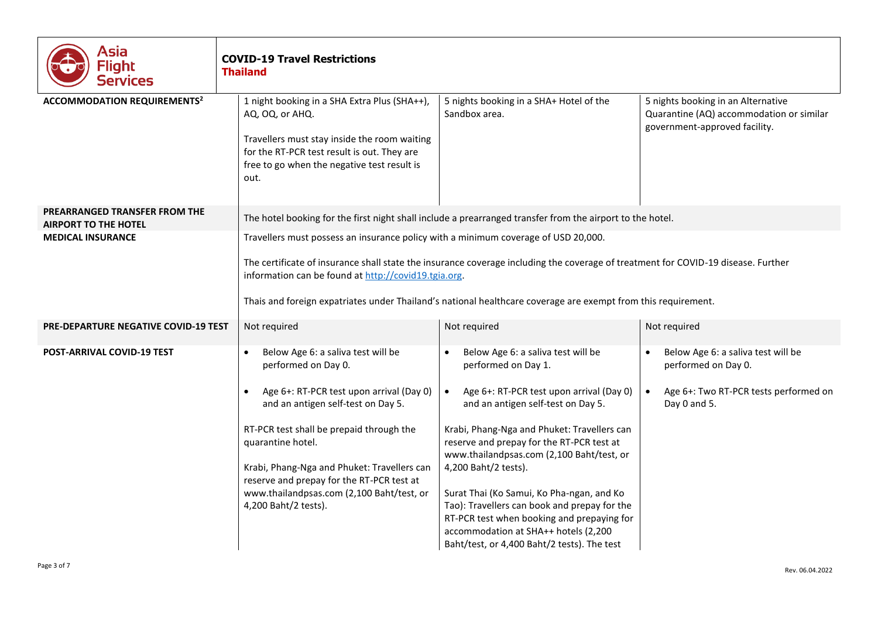| Asia<br>Flight<br>Services                                   | <b>COVID-19 Travel Restrictions</b><br><b>Thailand</b>                                                                                                                                                                                                                                                                                                                                           |                                                                                                                                                                                                                                                                                                                                                                                                                                                                                                                                                             |                                                                                                                    |  |  |
|--------------------------------------------------------------|--------------------------------------------------------------------------------------------------------------------------------------------------------------------------------------------------------------------------------------------------------------------------------------------------------------------------------------------------------------------------------------------------|-------------------------------------------------------------------------------------------------------------------------------------------------------------------------------------------------------------------------------------------------------------------------------------------------------------------------------------------------------------------------------------------------------------------------------------------------------------------------------------------------------------------------------------------------------------|--------------------------------------------------------------------------------------------------------------------|--|--|
| <b>ACCOMMODATION REQUIREMENTS<sup>2</sup></b>                | 1 night booking in a SHA Extra Plus (SHA++),<br>AQ, OQ, or AHQ.<br>Travellers must stay inside the room waiting<br>for the RT-PCR test result is out. They are<br>free to go when the negative test result is<br>out.                                                                                                                                                                            | 5 nights booking in a SHA+ Hotel of the<br>Sandbox area.                                                                                                                                                                                                                                                                                                                                                                                                                                                                                                    | 5 nights booking in an Alternative<br>Quarantine (AQ) accommodation or similar<br>government-approved facility.    |  |  |
| PREARRANGED TRANSFER FROM THE<br><b>AIRPORT TO THE HOTEL</b> |                                                                                                                                                                                                                                                                                                                                                                                                  | The hotel booking for the first night shall include a prearranged transfer from the airport to the hotel.                                                                                                                                                                                                                                                                                                                                                                                                                                                   |                                                                                                                    |  |  |
| <b>MEDICAL INSURANCE</b>                                     | Travellers must possess an insurance policy with a minimum coverage of USD 20,000.<br>The certificate of insurance shall state the insurance coverage including the coverage of treatment for COVID-19 disease. Further<br>information can be found at http://covid19.tgia.org.<br>Thais and foreign expatriates under Thailand's national healthcare coverage are exempt from this requirement. |                                                                                                                                                                                                                                                                                                                                                                                                                                                                                                                                                             |                                                                                                                    |  |  |
| <b>PRE-DEPARTURE NEGATIVE COVID-19 TEST</b>                  | Not required                                                                                                                                                                                                                                                                                                                                                                                     | Not required                                                                                                                                                                                                                                                                                                                                                                                                                                                                                                                                                | Not required                                                                                                       |  |  |
| <b>POST-ARRIVAL COVID-19 TEST</b>                            | Below Age 6: a saliva test will be<br>performed on Day 0.<br>Age 6+: RT-PCR test upon arrival (Day 0)<br>$\bullet$<br>and an antigen self-test on Day 5.<br>RT-PCR test shall be prepaid through the<br>quarantine hotel.<br>Krabi, Phang-Nga and Phuket: Travellers can<br>reserve and prepay for the RT-PCR test at<br>www.thailandpsas.com (2,100 Baht/test, or<br>4,200 Baht/2 tests).       | Below Age 6: a saliva test will be<br>performed on Day 1.<br>Age 6+: RT-PCR test upon arrival (Day 0)<br>$\bullet$<br>and an antigen self-test on Day 5.<br>Krabi, Phang-Nga and Phuket: Travellers can<br>reserve and prepay for the RT-PCR test at<br>www.thailandpsas.com (2,100 Baht/test, or<br>4,200 Baht/2 tests).<br>Surat Thai (Ko Samui, Ko Pha-ngan, and Ko<br>Tao): Travellers can book and prepay for the<br>RT-PCR test when booking and prepaying for<br>accommodation at SHA++ hotels (2,200<br>Baht/test, or 4,400 Baht/2 tests). The test | Below Age 6: a saliva test will be<br>performed on Day 0.<br>Age 6+: Two RT-PCR tests performed on<br>Day 0 and 5. |  |  |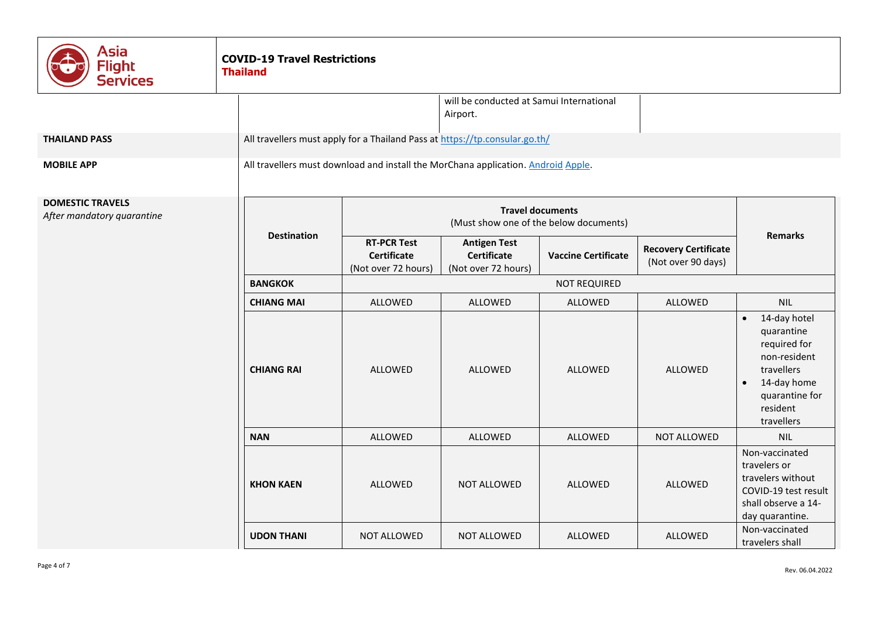| Asia<br><b>Flight</b><br><b>Services</b>              | <b>COVID-19 Travel Restrictions</b><br><b>Thailand</b> |                                                                                   |                                                                  |                            |                                                   |                                                                                                                                                               |
|-------------------------------------------------------|--------------------------------------------------------|-----------------------------------------------------------------------------------|------------------------------------------------------------------|----------------------------|---------------------------------------------------|---------------------------------------------------------------------------------------------------------------------------------------------------------------|
|                                                       |                                                        | will be conducted at Samui International<br>Airport.                              |                                                                  |                            |                                                   |                                                                                                                                                               |
| <b>THAILAND PASS</b>                                  |                                                        | All travellers must apply for a Thailand Pass at https://tp.consular.go.th/       |                                                                  |                            |                                                   |                                                                                                                                                               |
| <b>MOBILE APP</b>                                     |                                                        | All travellers must download and install the MorChana application. Android Apple. |                                                                  |                            |                                                   |                                                                                                                                                               |
| <b>DOMESTIC TRAVELS</b><br>After mandatory quarantine |                                                        | <b>Travel documents</b><br>(Must show one of the below documents)                 |                                                                  |                            |                                                   |                                                                                                                                                               |
|                                                       | <b>Destination</b>                                     | <b>RT-PCR Test</b><br>Certificate<br>(Not over 72 hours)                          | <b>Antigen Test</b><br><b>Certificate</b><br>(Not over 72 hours) | <b>Vaccine Certificate</b> | <b>Recovery Certificate</b><br>(Not over 90 days) | <b>Remarks</b>                                                                                                                                                |
|                                                       | <b>BANGKOK</b>                                         | <b>NOT REQUIRED</b>                                                               |                                                                  |                            |                                                   |                                                                                                                                                               |
|                                                       | <b>CHIANG MAI</b>                                      | ALLOWED                                                                           | ALLOWED                                                          | ALLOWED                    | ALLOWED                                           | <b>NIL</b>                                                                                                                                                    |
|                                                       | <b>CHIANG RAI</b>                                      | ALLOWED                                                                           | <b>ALLOWED</b>                                                   | ALLOWED                    | ALLOWED                                           | 14-day hotel<br>$\bullet$<br>quarantine<br>required for<br>non-resident<br>travellers<br>14-day home<br>$\bullet$<br>quarantine for<br>resident<br>travellers |
|                                                       | <b>NAN</b>                                             | <b>ALLOWED</b>                                                                    | <b>ALLOWED</b>                                                   | ALLOWED                    | NOT ALLOWED                                       | <b>NIL</b>                                                                                                                                                    |
|                                                       | <b>KHON KAEN</b>                                       | ALLOWED                                                                           | <b>NOT ALLOWED</b>                                               | ALLOWED                    | ALLOWED                                           | Non-vaccinated<br>travelers or<br>travelers without<br>COVID-19 test result<br>shall observe a 14-<br>day quarantine.                                         |
|                                                       | <b>UDON THANI</b>                                      | NOT ALLOWED                                                                       | NOT ALLOWED                                                      | ALLOWED                    | ALLOWED                                           | Non-vaccinated<br>travelers shall                                                                                                                             |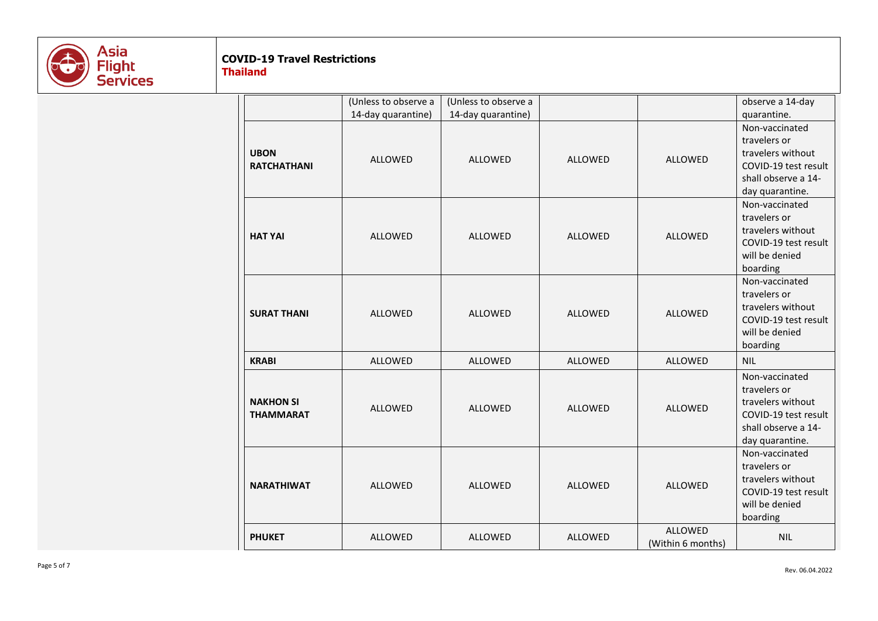

# **COVID-19 Travel Restrictions**

**Thailand**

|                                      | (Unless to observe a | (Unless to observe a |                |                              | observe a 14-day                                                                                                      |
|--------------------------------------|----------------------|----------------------|----------------|------------------------------|-----------------------------------------------------------------------------------------------------------------------|
|                                      | 14-day quarantine)   | 14-day quarantine)   |                |                              | quarantine.                                                                                                           |
| <b>UBON</b><br><b>RATCHATHANI</b>    | ALLOWED              | ALLOWED              | ALLOWED        | ALLOWED                      | Non-vaccinated<br>travelers or<br>travelers without<br>COVID-19 test result<br>shall observe a 14-<br>day quarantine. |
| <b>HAT YAI</b>                       | ALLOWED              | <b>ALLOWED</b>       | ALLOWED        | ALLOWED                      | Non-vaccinated<br>travelers or<br>travelers without<br>COVID-19 test result<br>will be denied<br>boarding             |
| <b>SURAT THANI</b>                   | ALLOWED              | ALLOWED              | ALLOWED        | ALLOWED                      | Non-vaccinated<br>travelers or<br>travelers without<br>COVID-19 test result<br>will be denied<br>boarding             |
| <b>KRABI</b>                         | ALLOWED              | ALLOWED              | ALLOWED        | ALLOWED                      | <b>NIL</b>                                                                                                            |
| <b>NAKHON SI</b><br><b>THAMMARAT</b> | <b>ALLOWED</b>       | <b>ALLOWED</b>       | <b>ALLOWED</b> | <b>ALLOWED</b>               | Non-vaccinated<br>travelers or<br>travelers without<br>COVID-19 test result<br>shall observe a 14-<br>day quarantine. |
| <b>NARATHIWAT</b>                    | <b>ALLOWED</b>       | <b>ALLOWED</b>       | <b>ALLOWED</b> | <b>ALLOWED</b>               | Non-vaccinated<br>travelers or<br>travelers without<br>COVID-19 test result<br>will be denied<br>boarding             |
| <b>PHUKET</b>                        | ALLOWED              | ALLOWED              | <b>ALLOWED</b> | ALLOWED<br>(Within 6 months) | <b>NIL</b>                                                                                                            |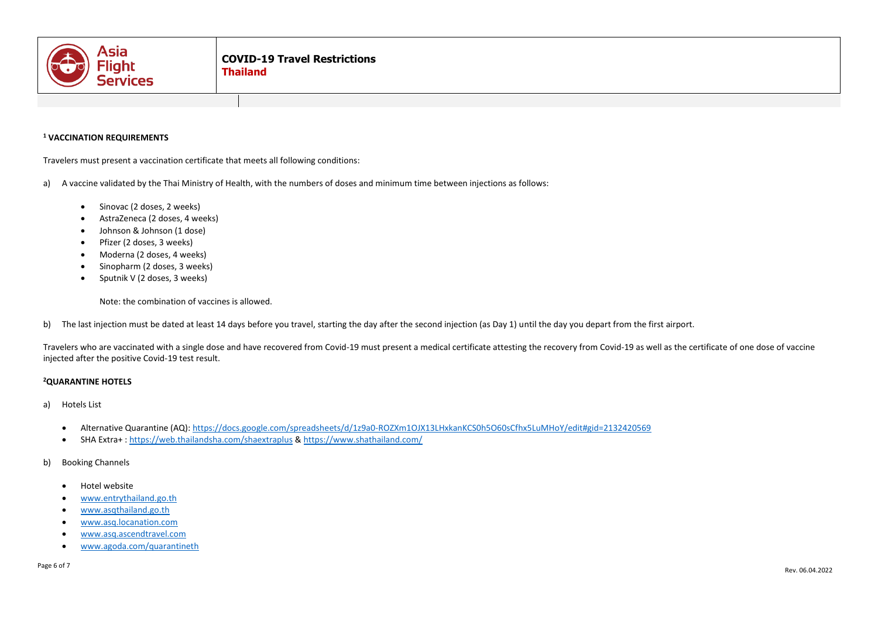

### **<sup>1</sup> VACCINATION REQUIREMENTS**

Travelers must present a vaccination certificate that meets all following conditions:

- a) A vaccine validated by the Thai Ministry of Health, with the numbers of doses and minimum time between injections as follows:
	- Sinovac (2 doses, 2 weeks)
	- AstraZeneca (2 doses, 4 weeks)
	- Johnson & Johnson (1 dose)
	- Pfizer (2 doses, 3 weeks)
	- Moderna (2 doses, 4 weeks)
	- Sinopharm (2 doses, 3 weeks)
	- Sputnik V (2 doses, 3 weeks)

Note: the combination of vaccines is allowed.

b) The last injection must be dated at least 14 days before you travel, starting the day after the second injection (as Day 1) until the day you depart from the first airport.

Travelers who are vaccinated with a single dose and have recovered from Covid-19 must present a medical certificate attesting the recovery from Covid-19 as well as the certificate of one dose of vaccine injected after the positive Covid-19 test result.

#### **<sup>2</sup>QUARANTINE HOTELS**

- a) Hotels List
	- Alternative Quarantine (AQ):<https://docs.google.com/spreadsheets/d/1z9a0-ROZXm1OJX13LHxkanKCS0h5O60sCfhx5LuMHoY/edit#gid=2132420569>
	- SHA Extra+[: https://web.thailandsha.com/shaextraplus](https://web.thailandsha.com/shaextraplus) &<https://www.shathailand.com/>
- b) Booking Channels
	- Hotel website
	- [www.entrythailand.go.th](http://www.entrythailand.go.th/)
	- [www.asqthailand.go.th](http://www.asqthailand.go.th/)
	- [www.asq.locanation.com](http://www.asq.locanation.com/)
	- [www.asq.ascendtravel.com](http://www.asq.ascendtravel.com/)
	- [www.agoda.com/quarantineth](http://www.agoda.com/quarantineth)